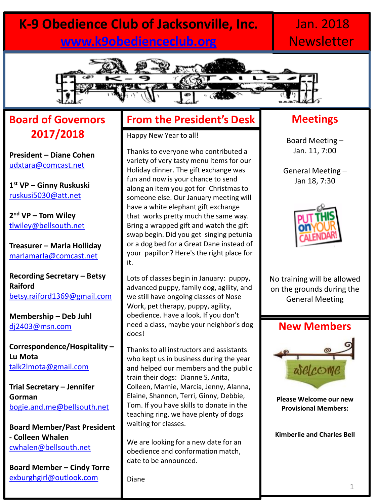# **K-9 Obedience Club of Jacksonville, Inc. [www.k9obedienceclub.org](http://www.k9obedienceclub.org/)**

# Jan. 2018 **Newsletter**



#### **Board of Governors 2017/2018**

**President – Diane Cohen** [udxtara@comcast.net](mailto:udxtara@comcast.net)

**1 st VP – Ginny Ruskuski** [ruskusi5030@att.net](mailto:ruskusi5030@att.net)

**2 nd VP – Tom Wiley** [tlwiley@bellsouth.net](mailto:tlwiley@bellsouth.net)

**Treasurer – Marla Holliday** [marlamarla@comcast.net](mailto:marlamarla@comcast.net)

**Recording Secretary – Betsy Raiford** [betsy.raiford1369@gmail.com](mailto:betsy.raiford1369@gmail.com)

**Membership – Deb Juhl** [dj2403@msn.com](mailto:dj2403@msn.com)

**Correspondence/Hospitality – Lu Mota** [talk2lmota@gmail.com](mailto:talk2lmota@gmail.com)

**Trial Secretary – Jennifer Gorman** [bogie.and.me@bellsouth.net](mailto:bogie.and.me@bellsouth.net)

**Board Member/Past President - Colleen Whalen**  [cwhalen@bellsouth.net](mailto:cwhalen@bellsouth.net)

**Board Member – Cindy Torre** [exburghgirl@outlook.com](mailto:exburghgirl@outlook.com)

#### **From the President's Desk**

Happy New Year to all!

Thanks to everyone who contributed a variety of very tasty menu items for our Holiday dinner. The gift exchange was fun and now is your chance to send along an item you got for Christmas to someone else. Our January meeting will have a white elephant gift exchange that works pretty much the same way. Bring a wrapped gift and watch the gift swap begin. Did you get singing petunia or a dog bed for a Great Dane instead of your papillon? Here's the right place for it.

Lots of classes begin in January: puppy, advanced puppy, family dog, agility, and we still have ongoing classes of Nose Work, pet therapy, puppy, agility, obedience. Have a look. If you don't need a class, maybe your neighbor's dog does!

Thanks to all instructors and assistants who kept us in business during the year and helped our members and the public train their dogs: Dianne S, Anita, Colleen, Marnie, Marcia, Jenny, Alanna, Elaine, Shannon, Terri, Ginny, Debbie, Tom. If you have skills to donate in the teaching ring, we have plenty of dogs waiting for classes.

We are looking for a new date for an obedience and conformation match, date to be announced.

Diane

#### **Meetings**

Board Meeting – Jan. 11, 7:00

General Meeting – Jan 18, 7:30



No training will be allowed on the grounds during the General Meeting



**Please Welcome our new Provisional Members:**

**Kimberlie and Charles Bell**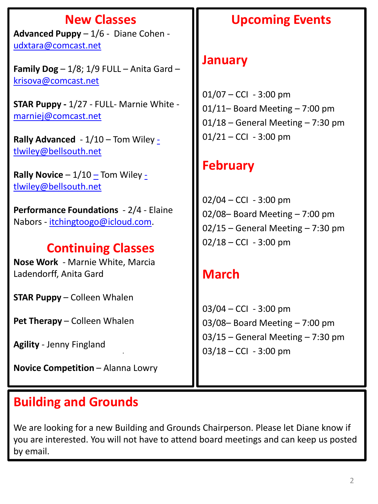# **New Classes**

**Advanced Puppy** – 1/6 - Diane Cohen [udxtara@comcast.net](mailto:udxtara@comcast.net)

**Family Dog**  $-1/8$ ;  $1/9$  FULL  $-$  Anita Gard  $$ [krisova@comcast.net](mailto:krisova@comcast.net)

**STAR Puppy -** 1/27 - FULL- Marnie White [marniej@comcast.net](mailto:marniej@comcast.net)

**Rally Advanced** - 1/10 – Tom Wiley [tlwiley@bellsouth.net](mailto:-tlwiley@bellsouth.net)

**Rally Novice** – 1/10 [–](mailto:tlwiley@bellsouth.net) Tom Wiley [tlwiley@bellsouth.net](mailto:-tlwiley@bellsouth.net)

**Performance Foundations** - 2/4 - Elaine Nabors - [itchingtoogo@icloud.com.](mailto:itchingtoogo@icloud.com)

# **Continuing Classes**

**Nose Work** - Marnie White, Marcia Ladendorff, Anita Gard

**STAR Puppy** – Colleen Whalen

**Pet Therapy** – Colleen Whalen

**Agility** - Jenny Fingland

**Novice Competition - Alanna Lowry** 

*.* 

# **Building and Grounds**

We are looking for a new Building and Grounds Chairperson. Please let Diane know if you are interested. You will not have to attend board meetings and can keep us posted by email.

# **Upcoming Events**

# **January**

 $01/07 - CCl - 3:00$  pm 01/11– Board Meeting – 7:00 pm 01/18 – General Meeting – 7:30 pm  $01/21 - CCl - 3:00$  pm

# **February**

 $02/04 - CCl - 3:00$  pm 02/08– Board Meeting – 7:00 pm 02/15 – General Meeting – 7:30 pm  $02/18 - CCl - 3:00$  pm

# **March**

03/04 – CCI - 3:00 pm 03/08– Board Meeting – 7:00 pm 03/15 – General Meeting – 7:30 pm  $03/18 - CCl - 3:00$  pm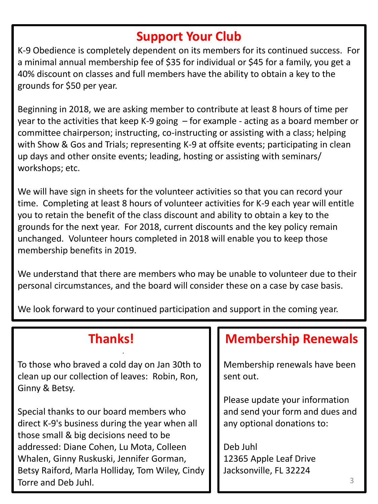# **Support Your Club**

K-9 Obedience is completely dependent on its members for its continued success. For a minimal annual membership fee of \$35 for individual or \$45 for a family, you get a 40% discount on classes and full members have the ability to obtain a key to the grounds for \$50 per year.

Beginning in 2018, we are asking member to contribute at least 8 hours of time per year to the activities that keep K-9 going – for example - acting as a board member or committee chairperson; instructing, co-instructing or assisting with a class; helping with Show & Gos and Trials; representing K-9 at offsite events; participating in clean up days and other onsite events; leading, hosting or assisting with seminars/ workshops; etc.

We will have sign in sheets for the volunteer activities so that you can record your time. Completing at least 8 hours of volunteer activities for K-9 each year will entitle you to retain the benefit of the class discount and ability to obtain a key to the grounds for the next year. For 2018, current discounts and the key policy remain unchanged. Volunteer hours completed in 2018 will enable you to keep those membership benefits in 2019.

We understand that there are members who may be unable to volunteer due to their personal circumstances, and the board will consider these on a case by case basis.

We look forward to your continued participation and support in the coming year.

## **Thanks!**

*.* 

To those who braved a cold day on Jan 30th to clean up our collection of leaves: Robin, Ron, Ginny & Betsy.

Special thanks to our board members who direct K-9's business during the year when all those small & big decisions need to be addressed: Diane Cohen, Lu Mota, Colleen Whalen, Ginny Ruskuski, Jennifer Gorman, Betsy Raiford, Marla Holliday, Tom Wiley, Cindy Torre and Deb Juhl.

# **Membership Renewals**

Membership renewals have been sent out.

Please update your information and send your form and dues and any optional donations to:

Deb Juhl 12365 Apple Leaf Drive Jacksonville, FL 32224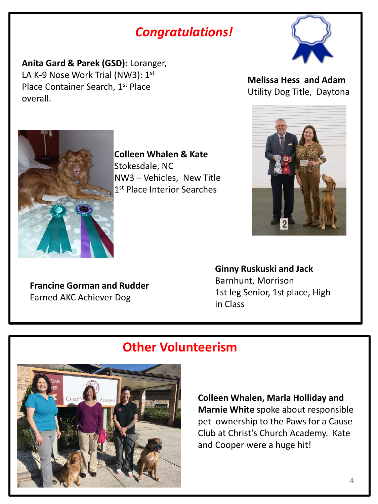# *Congratulations!*

**Anita Gard & Parek (GSD):** Loranger, LA K-9 Nose Work Trial (NW3): 1st Place Container Search, 1<sup>st</sup> Place overall.



**Melissa Hess and Adam** Utility Dog Title, Daytona



**Colleen Whalen & Kate** Stokesdale, NC NW3 – Vehicles, New Title 1st Place Interior Searches

**Francine Gorman and Rudder** Earned AKC Achiever Dog

**Ginny Ruskuski and Jack** Barnhunt, Morrison 1st leg Senior, 1st place, High in Class

## **Other Volunteerism**



**Colleen Whalen, Marla Holliday and Marnie White** spoke about responsible pet ownership to the Paws for a Cause Club at Christ's Church Academy. Kate and Cooper were a huge hit!